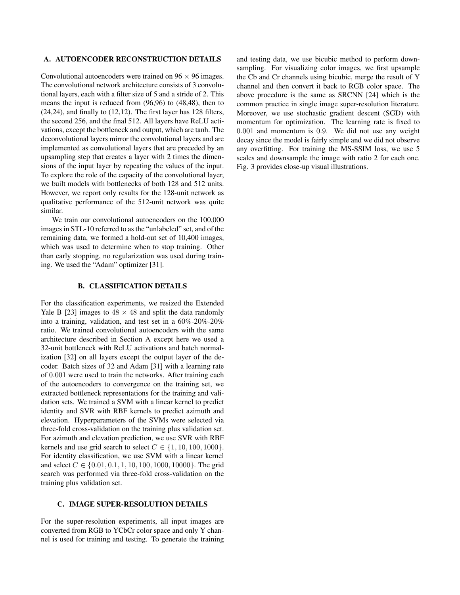## A. AUTOENCODER RECONSTRUCTION DETAILS

Convolutional autoencoders were trained on  $96 \times 96$  images. The convolutional network architecture consists of 3 convolutional layers, each with a filter size of 5 and a stride of 2. This means the input is reduced from (96,96) to (48,48), then to (24,24), and finally to (12,12). The first layer has 128 filters, the second 256, and the final 512. All layers have ReLU activations, except the bottleneck and output, which are tanh. The deconvolutional layers mirror the convolutional layers and are implemented as convolutional layers that are preceded by an upsampling step that creates a layer with 2 times the dimensions of the input layer by repeating the values of the input. To explore the role of the capacity of the convolutional layer, we built models with bottlenecks of both 128 and 512 units. However, we report only results for the 128-unit network as qualitative performance of the 512-unit network was quite similar.

We train our convolutional autoencoders on the 100,000 images in STL-10 referred to as the "unlabeled" set, and of the remaining data, we formed a hold-out set of 10,400 images, which was used to determine when to stop training. Other than early stopping, no regularization was used during training. We used the "Adam" optimizer [31].

## B. CLASSIFICATION DETAILS

For the classification experiments, we resized the Extended Yale B [23] images to  $48 \times 48$  and split the data randomly into a training, validation, and test set in a 60%-20%-20% ratio. We trained convolutional autoencoders with the same architecture described in Section A except here we used a 32-unit bottleneck with ReLU activations and batch normalization [32] on all layers except the output layer of the decoder. Batch sizes of 32 and Adam [31] with a learning rate of 0.001 were used to train the networks. After training each of the autoencoders to convergence on the training set, we extracted bottleneck representations for the training and validation sets. We trained a SVM with a linear kernel to predict identity and SVR with RBF kernels to predict azimuth and elevation. Hyperparameters of the SVMs were selected via three-fold cross-validation on the training plus validation set. For azimuth and elevation prediction, we use SVR with RBF kernels and use grid search to select  $C \in \{1, 10, 100, 1000\}.$ For identity classification, we use SVM with a linear kernel and select  $C \in \{0.01, 0.1, 1, 10, 100, 1000, 10000\}$ . The grid search was performed via three-fold cross-validation on the training plus validation set.

## C. IMAGE SUPER-RESOLUTION DETAILS

For the super-resolution experiments, all input images are converted from RGB to YCbCr color space and only Y channel is used for training and testing. To generate the training

and testing data, we use bicubic method to perform downsampling. For visualizing color images, we first upsample the Cb and Cr channels using bicubic, merge the result of Y channel and then convert it back to RGB color space. The above procedure is the same as SRCNN [24] which is the common practice in single image super-resolution literature. Moreover, we use stochastic gradient descent (SGD) with momentum for optimization. The learning rate is fixed to 0.001 and momentum is 0.9. We did not use any weight decay since the model is fairly simple and we did not observe any overfitting. For training the MS-SSIM loss, we use 5 scales and downsample the image with ratio 2 for each one. Fig. 3 provides close-up visual illustrations.